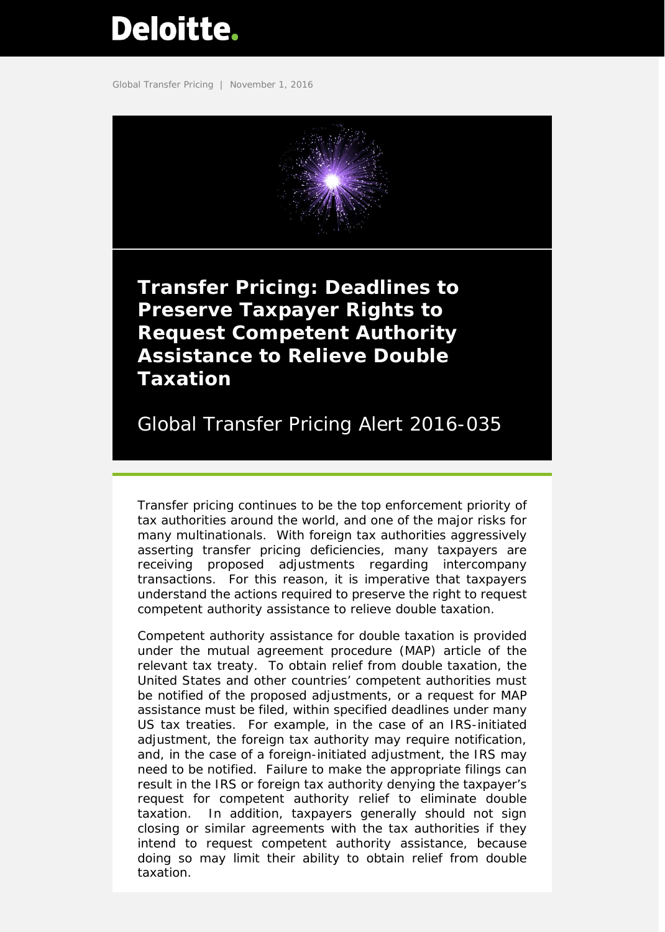# <span id="page-0-0"></span>**Deloitte.**

Global Transfer Pricing | November 1, 2016



**Transfer Pricing: Deadlines to Preserve Taxpayer Rights to Request Competent Authority Assistance to Relieve Double Taxation**

Global Transfer Pricing Alert 2016-035

Transfer pricing continues to be the top enforcement priority of tax authorities around the world, and one of the major risks for many multinationals. With foreign tax authorities aggressively asserting transfer pricing deficiencies, many taxpayers are receiving proposed adjustments regarding intercompany transactions. For this reason, it is imperative that taxpayers understand the actions required to preserve the right to request competent authority assistance to relieve double taxation.

Competent authority assistance for double taxation is provided under the mutual agreement procedure (MAP) article of the relevant tax treaty. To obtain relief from double taxation, the United States and other countries' competent authorities must be notified of the proposed adjustments, or a request for MAP assistance must be filed, within specified deadlines under many US tax treaties. For example, in the case of an IRS-initiated adjustment, the foreign tax authority may require notification, and, in the case of a foreign-initiated adjustment, the IRS may need to be notified. Failure to make the appropriate filings can result in the IRS or foreign tax authority denying the taxpayer's request for competent authority relief to eliminate double taxation. In addition, taxpayers generally should not sign closing or similar agreements with the tax authorities if they intend to request competent authority assistance, because doing so may limit their ability to obtain relief from double taxation.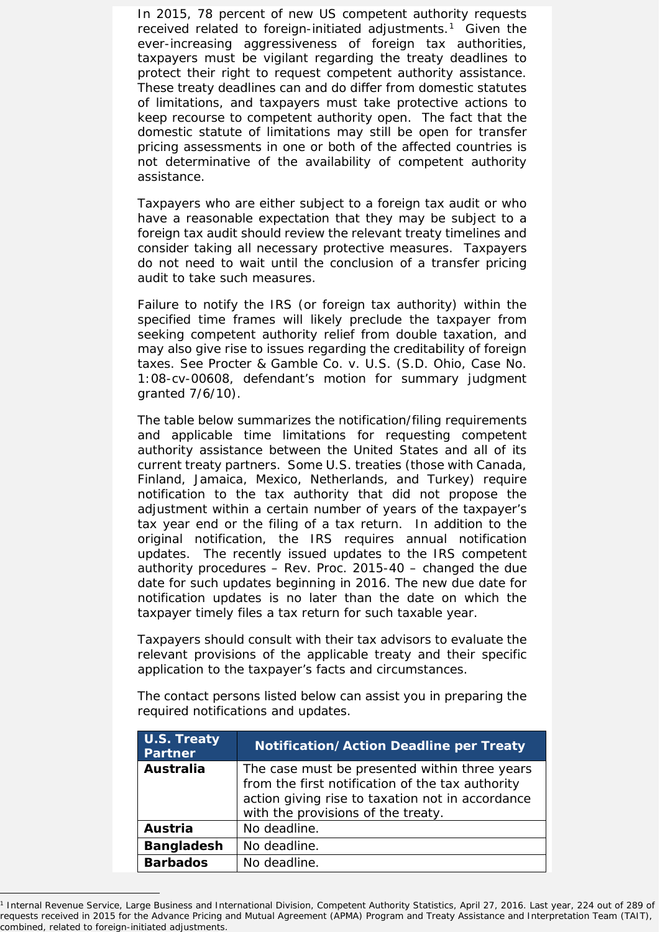In 2015, 78 percent of new US competent authority requests received related to foreign-initiated adjustments.<sup>[1](#page-1-0)</sup> Given the ever-increasing aggressiveness of foreign tax authorities, taxpayers must be vigilant regarding the treaty deadlines to protect their right to request competent authority assistance. These treaty deadlines can and do differ from domestic statutes of limitations, and taxpayers must take protective actions to keep recourse to competent authority open. The fact that the domestic statute of limitations may still be open for transfer pricing assessments in one or both of the affected countries is not determinative of the availability of competent authority assistance.

Taxpayers who are either subject to a foreign tax audit or who have a reasonable expectation that they may be subject to a foreign tax audit should review the relevant treaty timelines and consider taking all necessary protective measures. Taxpayers do not need to wait until the conclusion of a transfer pricing audit to take such measures.

Failure to notify the IRS (or foreign tax authority) within the specified time frames will likely preclude the taxpayer from seeking competent authority relief from double taxation, and may also give rise to issues regarding the creditability of foreign taxes. *See Procter & Gamble Co. v. U.S*. (S.D. Ohio, Case No. 1:08-cv-00608, defendant's motion for summary judgment granted 7/6/10).

The table below summarizes the notification/filing requirements and applicable time limitations for requesting competent authority assistance between the United States and all of its current treaty partners. Some U.S. treaties (those with Canada, Finland, Jamaica, Mexico, Netherlands, and Turkey) require notification to the tax authority that did not propose the adjustment within a certain number of years of the taxpayer's tax year end or the filing of a tax return. In addition to the original notification, the IRS requires annual notification updates. The recently issued updates to the IRS competent authority procedures – Rev. Proc. 2015-40 – changed the due date for such updates beginning in 2016. The new due date for notification updates is no later than the date on which the taxpayer timely files a tax return for such taxable year.

Taxpayers should consult with their tax advisors to evaluate the relevant provisions of the applicable treaty and their specific application to the taxpayer's facts and circumstances.

| Tequited Hothications and updates. |                                                                                                      |  |
|------------------------------------|------------------------------------------------------------------------------------------------------|--|
| U.S. Treaty<br><b>Partner</b>      | <b>Notification/Action Deadline per Treaty</b>                                                       |  |
| Australia                          | The case must be presented within three years                                                        |  |
|                                    | from the first notification of the tax authority<br>action giving rise to taxation not in accordance |  |

with the provisions of the treaty.

Austria | No deadline. **Bangladesh** | No deadline. **Barbados** | No deadline.

I

The contact persons listed below can assist you in preparing the required notifications and updates.

<span id="page-1-0"></span><sup>&</sup>lt;sup>1</sup> Internal Revenue Service, Large Business and International Division, Competent Authority Statistics, April 27, 2016. Last year, 224 out of 289 of requests received in 2015 for the Advance Pricing and Mutual Agreement (APMA) Program and Treaty Assistance and Interpretation Team (TAIT), combined, related to foreign-initiated adjustments.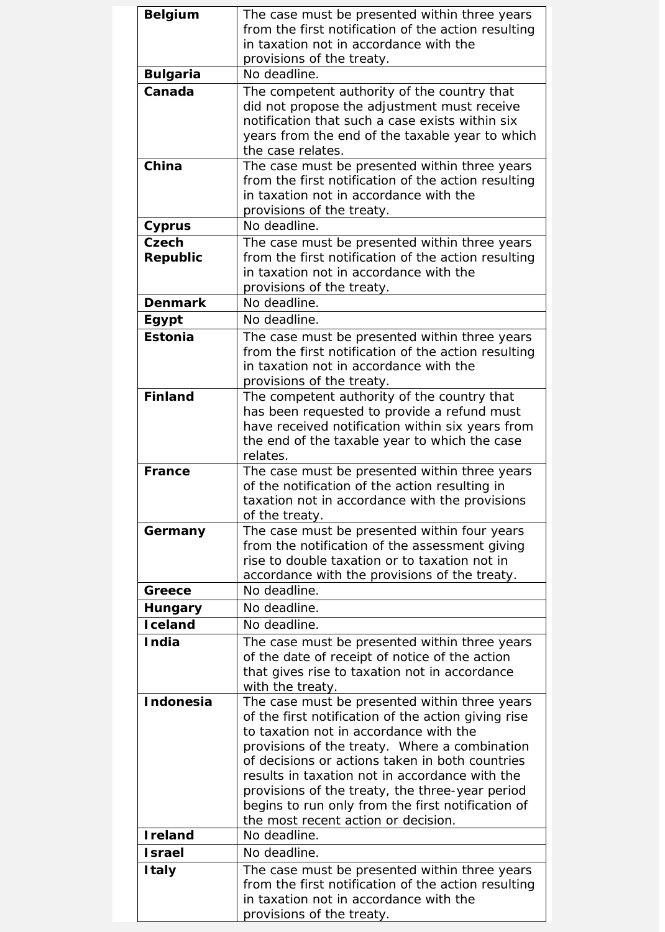| <b>Belgium</b>   | The case must be presented within three years       |
|------------------|-----------------------------------------------------|
|                  | from the first notification of the action resulting |
|                  | in taxation not in accordance with the              |
|                  | provisions of the treaty.                           |
| <b>Bulgaria</b>  | No deadline.                                        |
| Canada           | The competent authority of the country that         |
|                  | did not propose the adjustment must receive         |
|                  | notification that such a case exists within six     |
|                  | years from the end of the taxable year to which     |
|                  | the case relates.                                   |
| China            | The case must be presented within three years       |
|                  | from the first notification of the action resulting |
|                  | in taxation not in accordance with the              |
|                  | provisions of the treaty.                           |
| <b>Cyprus</b>    | No deadline.                                        |
| Czech            | The case must be presented within three years       |
| Republic         | from the first notification of the action resulting |
|                  | in taxation not in accordance with the              |
|                  | provisions of the treaty.                           |
| <b>Denmark</b>   | No deadline.                                        |
| Egypt            | No deadline.                                        |
| <b>Estonia</b>   | The case must be presented within three years       |
|                  | from the first notification of the action resulting |
|                  | in taxation not in accordance with the              |
|                  | provisions of the treaty.                           |
| <b>Finland</b>   | The competent authority of the country that         |
|                  | has been requested to provide a refund must         |
|                  | have received notification within six years from    |
|                  | the end of the taxable year to which the case       |
|                  | relates.                                            |
| <b>France</b>    | The case must be presented within three years       |
|                  | of the notification of the action resulting in      |
|                  | taxation not in accordance with the provisions      |
|                  | of the treaty.                                      |
| Germany          | The case must be presented within four years        |
|                  | from the notification of the assessment giving      |
|                  | rise to double taxation or to taxation not in       |
|                  | accordance with the provisions of the treaty.       |
| Greece           | No deadline.                                        |
| <b>Hungary</b>   | No deadline.                                        |
| <b>I</b> celand  | No deadline.                                        |
| <b>India</b>     | The case must be presented within three years       |
|                  | of the date of receipt of notice of the action      |
|                  | that gives rise to taxation not in accordance       |
|                  | with the treaty.                                    |
| <b>Indonesia</b> | The case must be presented within three years       |
|                  | of the first notification of the action giving rise |
|                  | to taxation not in accordance with the              |
|                  | provisions of the treaty. Where a combination       |
|                  | of decisions or actions taken in both countries     |
|                  | results in taxation not in accordance with the      |
|                  | provisions of the treaty, the three-year period     |
|                  | begins to run only from the first notification of   |
|                  | the most recent action or decision.                 |
| <b>I</b> reland  | No deadline.                                        |
| <b>Israel</b>    | No deadline.                                        |
| <b>Italy</b>     | The case must be presented within three years       |
|                  | from the first notification of the action resulting |
|                  | in taxation not in accordance with the              |
|                  | provisions of the treaty.                           |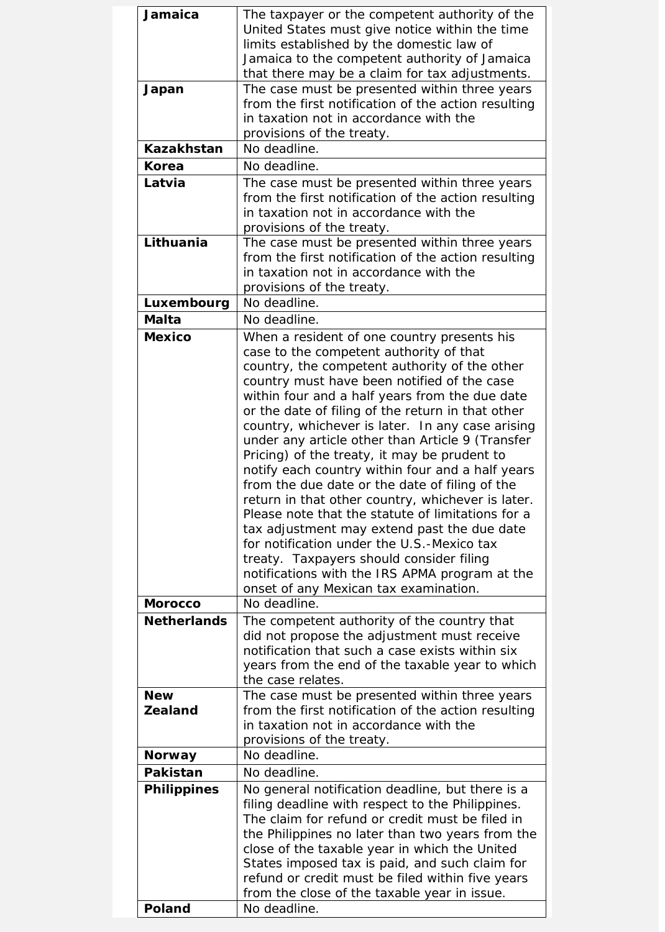| Jamaica            | The taxpayer or the competent authority of the      |
|--------------------|-----------------------------------------------------|
|                    | United States must give notice within the time      |
|                    | limits established by the domestic law of           |
|                    | Jamaica to the competent authority of Jamaica       |
|                    | that there may be a claim for tax adjustments.      |
| Japan              | The case must be presented within three years       |
|                    | from the first notification of the action resulting |
|                    | in taxation not in accordance with the              |
|                    | provisions of the treaty.                           |
| Kazakhstan         | No deadline.                                        |
| Korea              | No deadline.                                        |
| Latvia             | The case must be presented within three years       |
|                    | from the first notification of the action resulting |
|                    | in taxation not in accordance with the              |
|                    | provisions of the treaty.                           |
| Lithuania          | The case must be presented within three years       |
|                    | from the first notification of the action resulting |
|                    | in taxation not in accordance with the              |
|                    | provisions of the treaty.                           |
| Luxembourg         | No deadline.                                        |
| <b>Malta</b>       | No deadline.                                        |
| <b>Mexico</b>      | When a resident of one country presents his         |
|                    | case to the competent authority of that             |
|                    | country, the competent authority of the other       |
|                    | country must have been notified of the case         |
|                    | within four and a half years from the due date      |
|                    | or the date of filing of the return in that other   |
|                    | country, whichever is later. In any case arising    |
|                    | under any article other than Article 9 (Transfer    |
|                    | Pricing) of the treaty, it may be prudent to        |
|                    | notify each country within four and a half years    |
|                    | from the due date or the date of filing of the      |
|                    | return in that other country, whichever is later.   |
|                    | Please note that the statute of limitations for a   |
|                    | tax adjustment may extend past the due date         |
|                    | for notification under the U.S.-Mexico tax          |
|                    | treaty. Taxpayers should consider filing            |
|                    | notifications with the IRS APMA program at the      |
|                    | onset of any Mexican tax examination.               |
| <b>Morocco</b>     | No deadline.                                        |
| <b>Netherlands</b> | The competent authority of the country that         |
|                    | did not propose the adjustment must receive         |
|                    | notification that such a case exists within six     |
|                    | years from the end of the taxable year to which     |
|                    | the case relates.                                   |
| <b>New</b>         | The case must be presented within three years       |
| <b>Zealand</b>     | from the first notification of the action resulting |
|                    | in taxation not in accordance with the              |
|                    | provisions of the treaty.                           |
| <b>Norway</b>      | No deadline.                                        |
| <b>Pakistan</b>    | No deadline.                                        |
| <b>Philippines</b> | No general notification deadline, but there is a    |
|                    | filing deadline with respect to the Philippines.    |
|                    | The claim for refund or credit must be filed in     |
|                    | the Philippines no later than two years from the    |
|                    | close of the taxable year in which the United       |
|                    | States imposed tax is paid, and such claim for      |
|                    | refund or credit must be filed within five years    |
|                    | from the close of the taxable year in issue.        |
| Poland             | No deadline.                                        |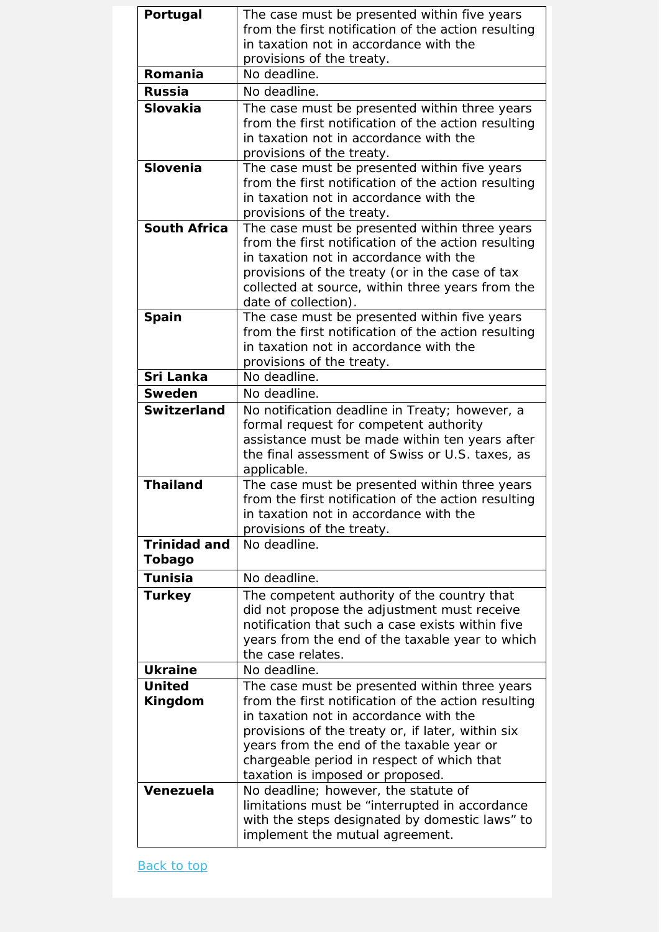| Portugal            | The case must be presented within five years                                                         |
|---------------------|------------------------------------------------------------------------------------------------------|
|                     | from the first notification of the action resulting                                                  |
|                     | in taxation not in accordance with the                                                               |
|                     | provisions of the treaty.                                                                            |
| Romania             | No deadline.                                                                                         |
| <b>Russia</b>       | No deadline.                                                                                         |
| <b>Slovakia</b>     | The case must be presented within three years                                                        |
|                     | from the first notification of the action resulting                                                  |
|                     | in taxation not in accordance with the                                                               |
|                     | provisions of the treaty.                                                                            |
| <b>Slovenia</b>     | The case must be presented within five years                                                         |
|                     | from the first notification of the action resulting                                                  |
|                     | in taxation not in accordance with the                                                               |
|                     | provisions of the treaty.                                                                            |
| <b>South Africa</b> | The case must be presented within three years<br>from the first notification of the action resulting |
|                     | in taxation not in accordance with the                                                               |
|                     | provisions of the treaty (or in the case of tax                                                      |
|                     | collected at source, within three years from the                                                     |
|                     | date of collection).                                                                                 |
| <b>Spain</b>        | The case must be presented within five years                                                         |
|                     | from the first notification of the action resulting                                                  |
|                     | in taxation not in accordance with the                                                               |
|                     | provisions of the treaty.                                                                            |
| Sri Lanka           | No deadline.                                                                                         |
| Sweden              | No deadline.                                                                                         |
| <b>Switzerland</b>  | No notification deadline in Treaty; however, a                                                       |
|                     | formal request for competent authority                                                               |
|                     | assistance must be made within ten years after                                                       |
|                     | the final assessment of Swiss or U.S. taxes, as                                                      |
|                     | applicable.                                                                                          |
| <b>Thailand</b>     | The case must be presented within three years                                                        |
|                     | from the first notification of the action resulting<br>in taxation not in accordance with the        |
|                     | provisions of the treaty.                                                                            |
| <b>Trinidad and</b> | No deadline.                                                                                         |
| Tobago              |                                                                                                      |
| <b>Tunisia</b>      | No deadline.                                                                                         |
| <b>Turkey</b>       | The competent authority of the country that                                                          |
|                     | did not propose the adjustment must receive                                                          |
|                     | notification that such a case exists within five                                                     |
|                     | years from the end of the taxable year to which                                                      |
|                     | the case relates.                                                                                    |
| <b>Ukraine</b>      | No deadline.                                                                                         |
| <b>United</b>       | The case must be presented within three years                                                        |
| Kingdom             | from the first notification of the action resulting                                                  |
|                     | in taxation not in accordance with the                                                               |
|                     | provisions of the treaty or, if later, within six                                                    |
|                     | years from the end of the taxable year or                                                            |
|                     | chargeable period in respect of which that                                                           |
|                     | taxation is imposed or proposed.                                                                     |
| Venezuela           | No deadline; however, the statute of                                                                 |
|                     | limitations must be "interrupted in accordance                                                       |
|                     | with the steps designated by domestic laws" to<br>implement the mutual agreement.                    |
|                     |                                                                                                      |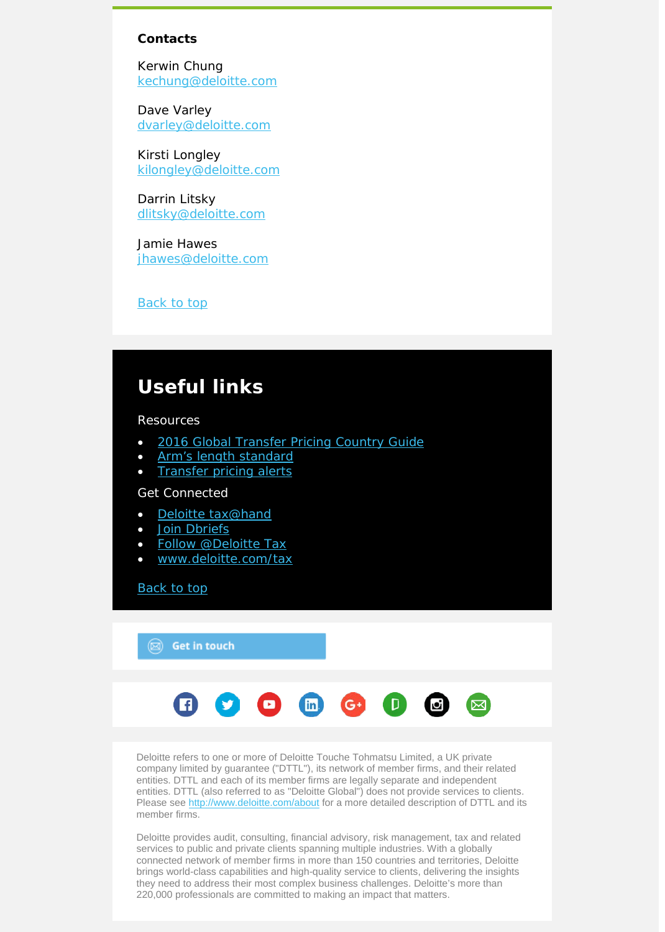#### **Contacts**

Kerwin Chung [kechung@deloitte.com](mailto:kechung@deloitte.com) 

Dave Varley [dvarley@deloitte.com](mailto:dvarley@deloitte.com)

Kirsti Longley [kilongley@deloitte.com](mailto:kilongley@deloitte.com)

Darrin Litsky [dlitsky@deloitte.com](mailto:dlitsky@deloitte.com)

Jamie Hawes [jhawes@deloitte.com](mailto:jhawes@deloitte.com)

Back to top

# **Useful links**

Resources

- [2016 Global Transfer Pricing Country Guide](https://www2.deloitte.com/us/en/pages/tax/articles/global-transfer-pricing-country-guide.html)
- [Arm's length standard](http://www2.deloitte.com/global/en/pages/tax/articles/arms-length-standard.html)
- **[Transfer pricing alerts](http://www2.deloitte.com/global/en/pages/tax/articles/global-transfer-pricing-alerts.html)**

# Get Connected

- [Deloitte tax@hand](http://www2.deloitte.com/us/en/pages/tax/articles/deloitte-tax-at-hand-mobile-app.html)
- [Join Dbriefs](https://www2.deloitte.com/global/en/pages/about-deloitte/articles/dbriefs-webcasts.html)
- [Follow @Deloitte Tax](http://www.twitter.com/deloittetax)
- [www.deloitte.com/tax](http://www.deloitte.com/tax)

### [Back to top](#page-0-0)

## $\circledR$  Get in touch



Deloitte refers to one or more of Deloitte Touche Tohmatsu Limited, a UK private company limited by guarantee ("DTTL"), its network of member firms, and their related entities. DTTL and each of its member firms are legally separate and independent entities. DTTL (also referred to as "Deloitte Global") does not provide services to clients. Please see<http://www.deloitte.com/about> for a more detailed description of DTTL and its member firms.

Deloitte provides audit, consulting, financial advisory, risk management, tax and related services to public and private clients spanning multiple industries. With a globally connected network of member firms in more than 150 countries and territories, Deloitte brings world-class capabilities and high-quality service to clients, delivering the insights they need to address their most complex business challenges. Deloitte's more than 220,000 professionals are committed to making an impact that matters.